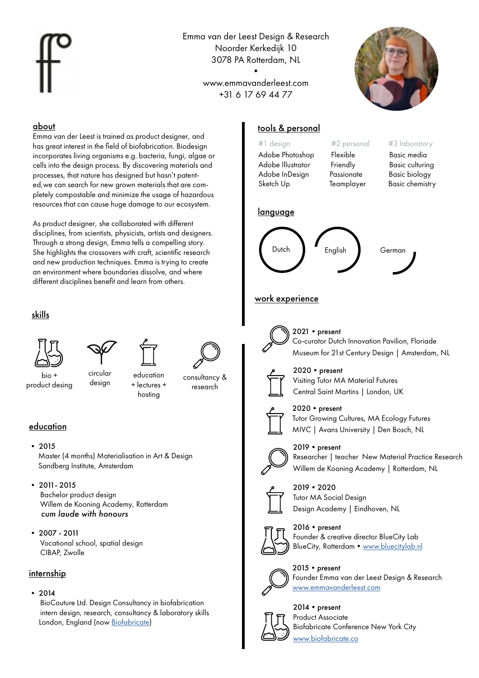Emma van der Leest Design & Research Noorder Kerkedijk 10 3078 PA Rotterdam, NL

> www.emmavanderleest.com +31 6 17 69 44 77

•



## about

Emma van der Leest is trained as product designer, and has great interest in the field of biofabrication. Biodesian incorporates living organisms e.g. bacteria, fungi, algae or cells into the design process. By discovering materials and processes, that nature has designed but hasn't patented,we can search for new grown materials that are completely compostable and minimize the usage of hazardous resources that can cause huge damage to our ecosystem.

As product designer, she collaborated with different disciplines, from scientists, physicists, artists and designers. Through a strong design, Emma tells a compelling story. She highlights the crossovers with craft, scientific research and new production techniques. Emma is trying to create an environment where boundaries dissolve, and where different disciplines benefit and learn from others.

# skills



bio + product desing

circular circular education <sub>consultancy &</sub><br>design + lectures + education + lectures + hosting



research

# education

• 2015

 Master (4 months) Materialisation in Art & Design Sandberg Institute, Amsterdam

• 2011- 2015 Bachelor product design

 Willem de Kooning Academy, Rotterdam  *cum laude with honours*

• 2007 - 2011 Vocational school, spatial design CIBAP, Zwolle

# internship

# $• 2014$

 BioCouture Ltd. Design Consultancy in biofabrication intern design, research, consultancy & laboratory skills London, England (now [Biofabricate\)](https://www.biofabricate.co)

# tools & personal

Adobe Illustrator Friendly Basic culturing Adobe InDesign Passionate Basic biology Sketch Up Teamplayer Basic chemistry

Adobe Photoshop Flexible Basic media

## #1 design #2 personal #3 laboratory

# language



# work experience



2021 • present Co-curator Dutch Innovation Pavilion, Floriade Museum for 21st Century Design | Amsterdam, NL



 $2020$  • present Visiting Tutor MA Material Futures Central Saint Martins | London, UK



 $2020$  • present Tutor Growing Cultures, MA Ecology Futures MIVC | Avans University | Den Bosch, NL



 $2019 •$  present

Researcher | teacher New Material Practice Research Willem de Kooning Academy | Rotterdam, NL



2019•2020 Tutor MA Social Design Design Academy | Eindhoven, NL



2016 • present Founder & creative director BlueCity Lab BlueCity, Rotterdam • www.bluecitylab.nl



2015 • present Founder Emma van der Leest Design & Research [www.emmavanderleest.com](http://www.emmavanderleest.com)



2014 • present Product Associate Biofabricate Conference New York City [www.biofabricate.co](http://www.biofabricate.co)